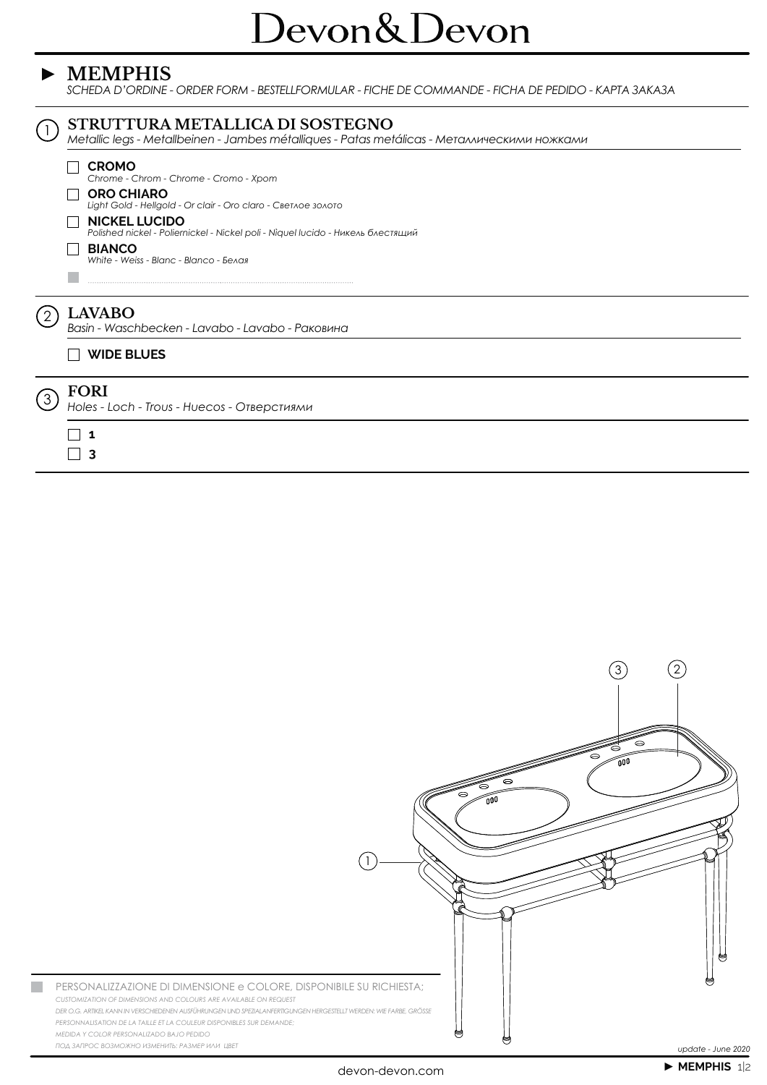#### $\triangleright$  MEMPHIS

SCHEDA D'ORDINE - ORDER FORM - BESTELLFORMULAR - FICHE DE COMMANDE - FICHA DE PEDIDO - KAPTA 3AKA3A





 $\left(2\right)$ 

 $\left(3\right)$